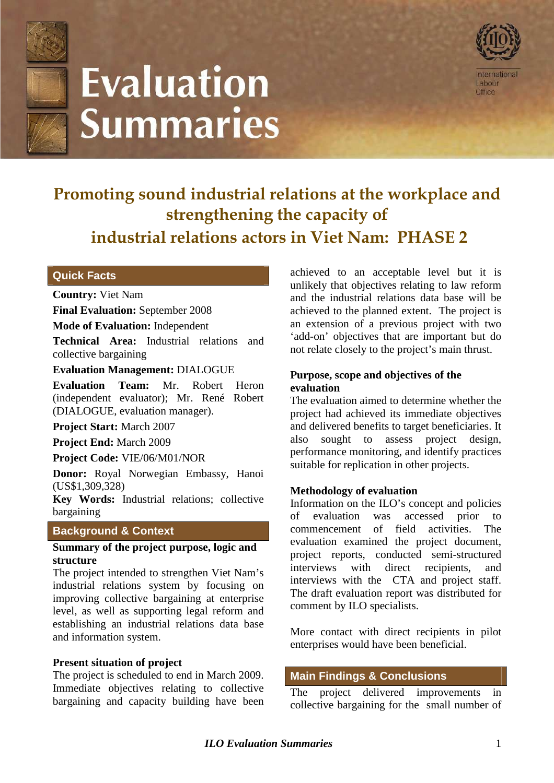

# **Evaluation Summaries**



## **Promoting sound industrial relations at the workplace and strengthening the capacity of industrial relations actors in Viet Nam: PHASE 2**

#### **Quick Facts**

#### **Country:** Viet Nam

**Final Evaluation:** September 2008

**Mode of Evaluation:** Independent

**Technical Area:** Industrial relations and collective bargaining

#### **Evaluation Management:** DIALOGUE

**Evaluation Team:** Mr. Robert Heron (independent evaluator); Mr. René Robert (DIALOGUE, evaluation manager).

**Project Start:** March 2007

**Project End:** March 2009

**Project Code:** VIE/06/M01/NOR

**Donor:** Royal Norwegian Embassy, Hanoi (US\$1,309,328)

**Key Words:** Industrial relations; collective bargaining

#### **Background & Context**

#### **Summary of the project purpose, logic and structure**

The project intended to strengthen Viet Nam's industrial relations system by focusing on improving collective bargaining at enterprise level, as well as supporting legal reform and establishing an industrial relations data base and information system.

#### **Present situation of project**

The project is scheduled to end in March 2009. Immediate objectives relating to collective bargaining and capacity building have been achieved to an acceptable level but it is unlikely that objectives relating to law reform and the industrial relations data base will be achieved to the planned extent. The project is an extension of a previous project with two 'add-on' objectives that are important but do not relate closely to the project's main thrust.

#### **Purpose, scope and objectives of the evaluation**

The evaluation aimed to determine whether the project had achieved its immediate objectives and delivered benefits to target beneficiaries. It also sought to assess project design, performance monitoring, and identify practices suitable for replication in other projects.

#### **Methodology of evaluation**

Information on the ILO's concept and policies of evaluation was accessed prior to commencement of field activities. The evaluation examined the project document, project reports, conducted semi-structured interviews with direct recipients, and interviews with the CTA and project staff. The draft evaluation report was distributed for comment by ILO specialists.

More contact with direct recipients in pilot enterprises would have been beneficial.

#### **Main Findings & Conclusions**

The project delivered improvements in collective bargaining for the small number of